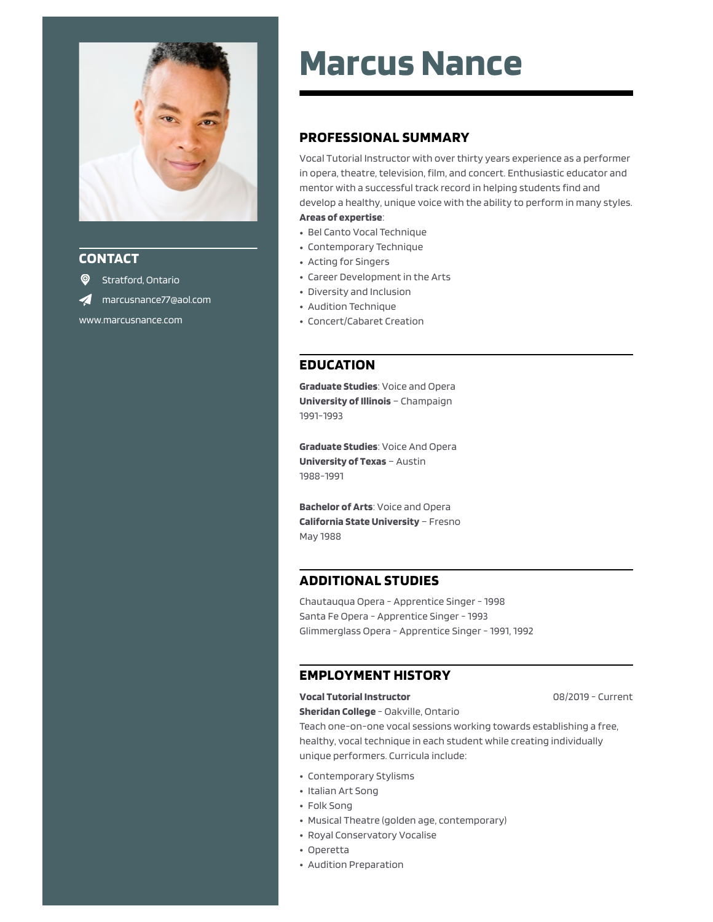

# **CONTACT**

<sup>O</sup> Stratford, Ontario marcusnance77@aol.com www.marcusnance.com

# **Marcus Nance**

# **PROFESSIONAL SUMMARY**

Vocal Tutorial Instructor with over thirty years experience as a performer in opera, theatre, television, film, and concert. Enthusiastic educator and mentor with a successful track record in helping students find and develop a healthy, unique voice with the ability to perform in many styles.

## **Areas of expertise**:

- Bel Canto Vocal Technique
- Contemporary Technique
- Acting for Singers
- Career Development in the Arts
- Diversity and Inclusion
- Audition Technique
- Concert/Cabaret Creation

# **EDUCATION**

**Graduate Studies**: Voice and Opera **University of Illinois** – Champaign 1991-1993

**Graduate Studies**: Voice And Opera **University of Texas** – Austin 1988-1991

**Bachelor of Arts**: Voice and Opera **California State University** – Fresno May 1988

## **ADDITIONAL STUDIES**

Chautauqua Opera - Apprentice Singer - 1998 Santa Fe Opera - Apprentice Singer - 1993 Glimmerglass Opera - Apprentice Singer - 1991, 1992

# **EMPLOYMENT HISTORY**

## **Vocal Tutorial Instructor**

08/2019 - Current

**Sheridan College** - Oakville, Ontario Teach one-on-one vocal sessions working towards establishing a free, healthy, vocal technique in each student while creating individually unique performers. Curricula include:

- Contemporary Stylisms
- Italian Art Song
- Folk Song
- Musical Theatre (golden age, contemporary)
- Royal Conservatory Vocalise
- Operetta
- Audition Preparation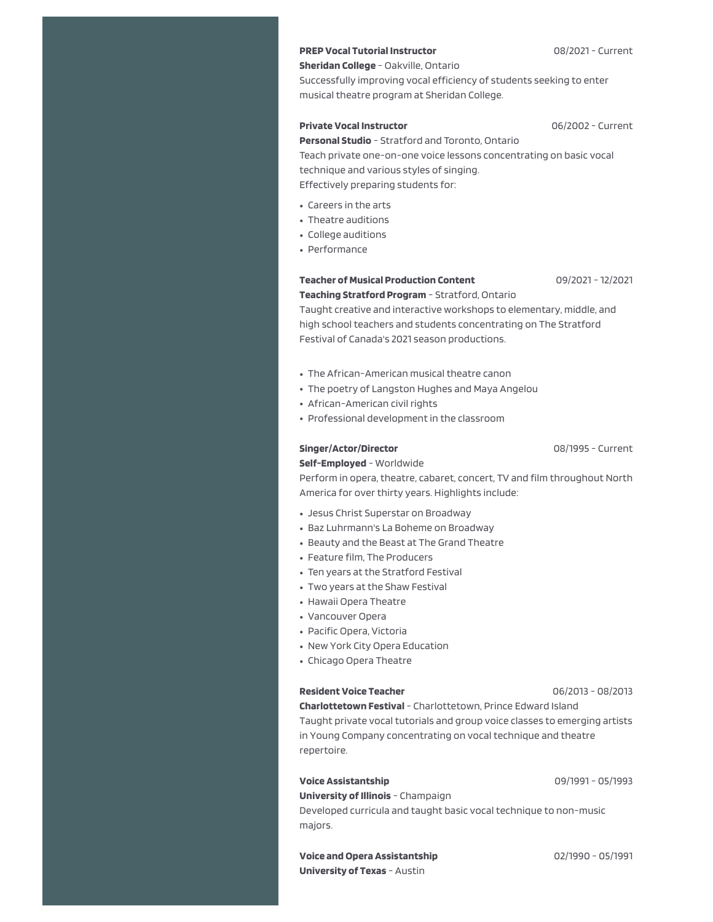## **PREP Vocal Tutorial Instructor**

### **Sheridan College** - Oakville, Ontario

Successfully improving vocal efficiency of students seeking to enter musical theatre program at Sheridan College.

#### **Private Vocal Instructor**

06/2002 - Current

**Personal Studio** - Stratford and Toronto, Ontario Teach private one-on-one voice lessons concentrating on basic vocal technique and various styles of singing.

Effectively preparing students for:

- Careers in the arts
- Theatre auditions
- College auditions
- Performance

## **Teacher of Musical Production Content Teaching Stratford Program** - Stratford, Ontario

09/2021 - 12/2021

Taught creative and interactive workshops to elementary, middle, and high school teachers and students concentrating on The Stratford Festival of Canada's 2021 season productions.

- The African-American musical theatre canon
- The poetry of Langston Hughes and Maya Angelou
- African-American civil rights
- Professional development in the classroom

#### **Singer/Actor/Director**

08/1995 - Current

**Self-Employed** - Worldwide

Perform in opera, theatre, cabaret, concert, TV and film throughout North America for over thirty years. Highlights include:

- Jesus Christ Superstar on Broadway
- Baz Luhrmann's La Boheme on Broadway
- Beauty and the Beast at The Grand Theatre
- Feature film, The Producers
- Ten years at the Stratford Festival
- Two years at the Shaw Festival
- Hawaii Opera Theatre
- Vancouver Opera
- Pacific Opera, Victoria
- New York City Opera Education
- Chicago Opera Theatre

#### **Resident Voice Teacher**

06/2013 - 08/2013

**Charlottetown Festival** - Charlottetown, Prince Edward Island Taught private vocal tutorials and group voice classes to emerging artists in Young Company concentrating on vocal technique and theatre repertoire.

#### **Voice Assistantship**

**University of Illinois** - Champaign

Developed curricula and taught basic vocal technique to non-music majors.

**Voice and Opera Assistantship University of Texas** - Austin

09/1991 - 05/1993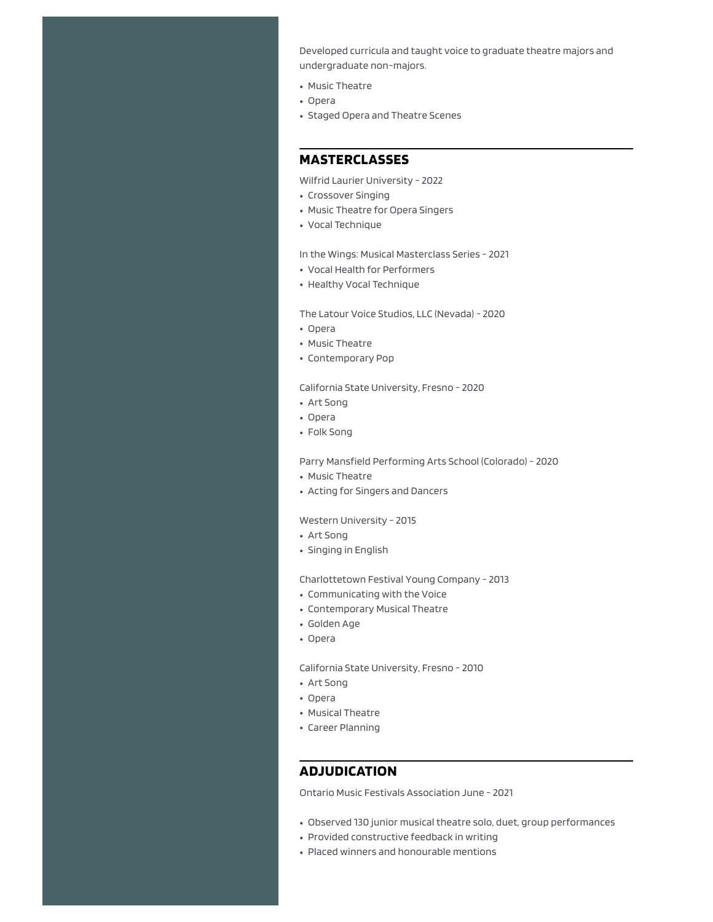Developed curricula and taught voice to graduate theatre majors and undergraduate non-majors.

- Music Theatre
- Opera
- Staged Opera and Theatre Scenes

# **MASTERCLASSES**

Wilfrid Laurier University - 2022

- Crossover Singing
- Music Theatre for Opera Singers
- Vocal Technique

In the Wings: Musical Masterclass Series - 2021

- Vocal Health for Performers
- Healthy Vocal Technique

The Latour Voice Studios, LLC (Nevada) - 2020

- Opera
- Music Theatre
- Contemporary Pop

California State University, Fresno - 2020

- Art Song
- Opera
- Folk Song

Parry Mansfield Performing Arts School (Colorado) - 2020

- Music Theatre
- Acting for Singers and Dancers

#### Western University - 2015

- Art Song
- Singing in English

Charlottetown Festival Young Company - 2013

- Communicating with the Voice
- Contemporary Musical Theatre
- Golden Age
- Opera

California State University, Fresno - 2010

- Art Song
- Opera
- Musical Theatre
- Career Planning

## **ADJUDICATION**

Ontario Music Festivals Association June - 2021

- Observed 130 junior musical theatre solo, duet, group performances
- Provided constructive feedback in writing
- Placed winners and honourable mentions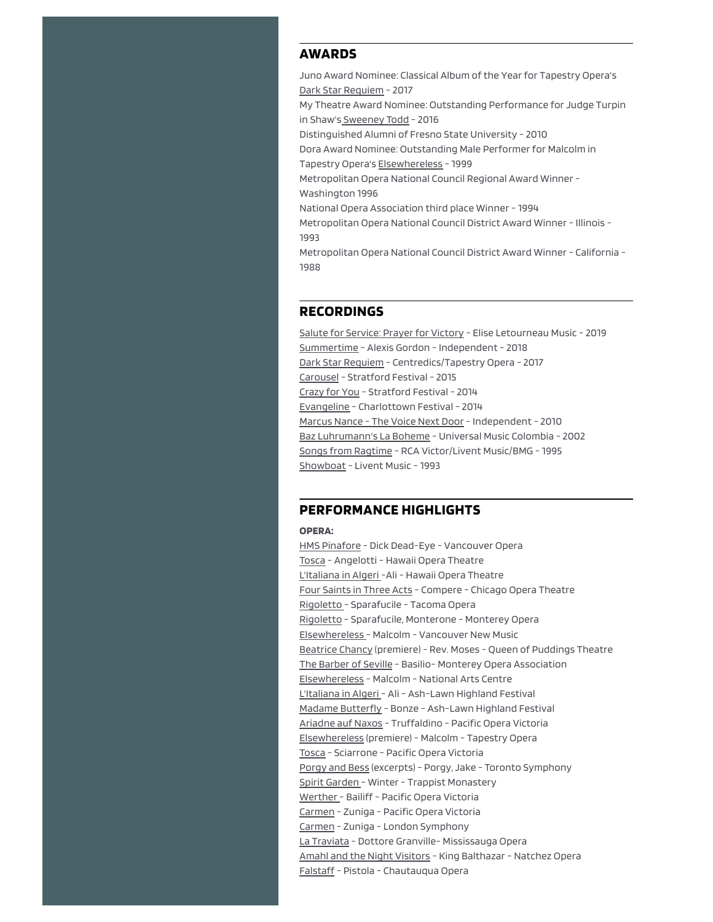## **AWARDS**

Juno Award Nominee: Classical Album of the Year for Tapestry Opera's Dark Star Requiem - 2017 My Theatre Award Nominee: Outstanding Performance for Judge Turpin in Shaw's Sweeney Todd - 2016 Distinguished Alumni of Fresno State University - 2010 Dora Award Nominee: Outstanding Male Performer for Malcolm in Tapestry Opera's Elsewhereless - 1999 Metropolitan Opera National Council Regional Award Winner - Washington 1996 National Opera Association third place Winner - 1994 Metropolitan Opera National Council District Award Winner - Illinois - 1993 Metropolitan Opera National Council District Award Winner - California -

1988

## **RECORDINGS**

Salute for Service: Prayer for Victory - Elise Letourneau Music - 2019 Summertime - Alexis Gordon - Independent - 2018 Dark Star Requiem - Centredics/Tapestry Opera - 2017 Carousel - Stratford Festival - 2015 Crazy for You - Stratford Festival - 2014 Evangeline - Charlottown Festival - 2014 Marcus Nance - The Voice Next Door - Independent - 2010 Baz Luhrumann's La Boheme - Universal Music Colombia - 2002 Songs from Ragtime - RCA Victor/Livent Music/BMG - 1995 Showboat - Livent Music - 1993

## **PERFORMANCE HIGHLIGHTS**

## **OPERA:**

HMS Pinafore - Dick Dead-Eye - Vancouver Opera Tosca - Angelotti - Hawaii Opera Theatre L'Italiana in Algeri -Ali - Hawaii Opera Theatre Four Saints in Three Acts - Compere - Chicago Opera Theatre Rigoletto - Sparafucile - Tacoma Opera Rigoletto - Sparafucile, Monterone - Monterey Opera Elsewhereless - Malcolm - Vancouver New Music Beatrice Chancy (premiere) - Rev. Moses - Queen of Puddings Theatre The Barber of Seville - Basilio- Monterey Opera Association Elsewhereless - Malcolm - National Arts Centre L'Italiana in Algeri - Ali - Ash-Lawn Highland Festival Madame Butterfly - Bonze - Ash-Lawn Highland Festival Ariadne auf Naxos - Truffaldino - Pacific Opera Victoria Elsewhereless (premiere) - Malcolm - Tapestry Opera Tosca - Sciarrone - Pacific Opera Victoria Porgy and Bess (excerpts) - Porgy, Jake - Toronto Symphony Spirit Garden - Winter - Trappist Monastery Werther - Bailiff - Pacific Opera Victoria Carmen - Zuniga - Pacific Opera Victoria Carmen - Zuniga - London Symphony La Traviata - Dottore Granville- Mississauga Opera Amahl and the Night Visitors - King Balthazar - Natchez Opera Falstaff - Pistola - Chautauqua Opera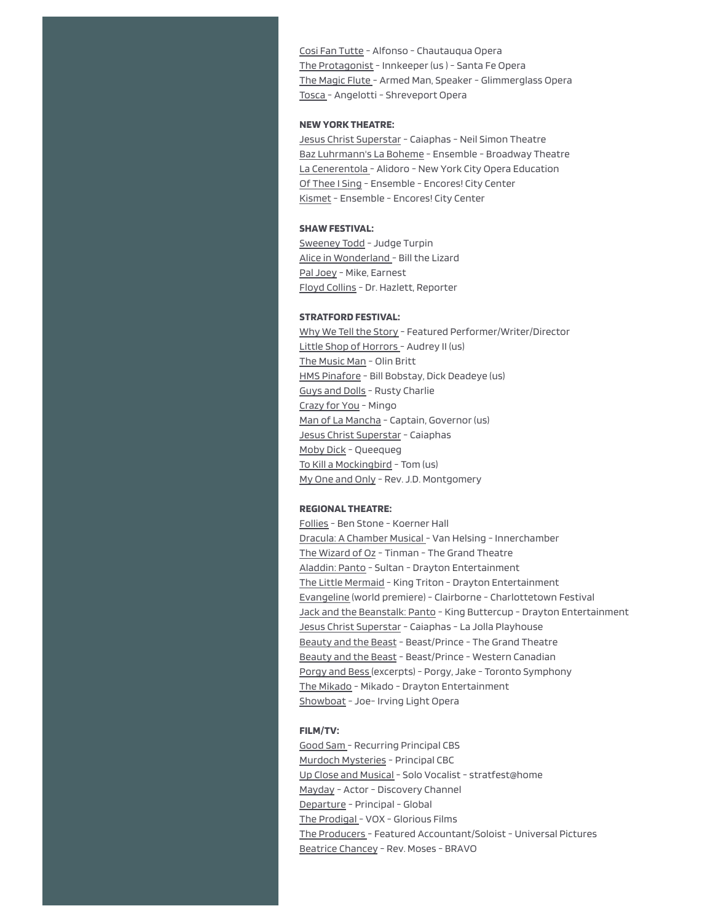Cosi Fan Tutte - Alfonso - Chautauqua Opera The Protagonist - Innkeeper (us ) - Santa Fe Opera The Magic Flute - Armed Man, Speaker - Glimmerglass Opera Tosca - Angelotti - Shreveport Opera

#### **NEW YORK THEATRE:**

Jesus Christ Superstar - Caiaphas - Neil Simon Theatre Baz Luhrmann's La Boheme - Ensemble - Broadway Theatre La Cenerentola - Alidoro - New York City Opera Education Of Thee I Sing - Ensemble - Encores! City Center Kismet - Ensemble - Encores! City Center

### **SHAW FESTIVAL:**

Sweeney Todd - Judge Turpin Alice in Wonderland - Bill the Lizard Pal Joey - Mike, Earnest Floyd Collins - Dr. Hazlett, Reporter

#### **STRATFORD FESTIVAL:**

Why We Tell the Story - Featured Performer/Writer/Director Little Shop of Horrors - Audrey II (us) The Music Man - Olin Britt HMS Pinafore - Bill Bobstay, Dick Deadeye (us) Guys and Dolls - Rusty Charlie Crazy for You - Mingo Man of La Mancha - Captain, Governor (us) Jesus Christ Superstar - Caiaphas Moby Dick - Queequeg To Kill a Mockingbird - Tom (us) My One and Only - Rev. J.D. Montgomery

#### **REGIONAL THEATRE:**

Follies - Ben Stone - Koerner Hall Dracula: A Chamber Musical - Van Helsing - Innerchamber The Wizard of Oz - Tinman - The Grand Theatre Aladdin: Panto - Sultan - Drayton Entertainment The Little Mermaid - King Triton - Drayton Entertainment Evangeline (world premiere) - Clairborne - Charlottetown Festival Jack and the Beanstalk: Panto - King Buttercup - Drayton Entertainment Jesus Christ Superstar - Caiaphas - La Jolla Playhouse Beauty and the Beast - Beast/Prince - The Grand Theatre Beauty and the Beast - Beast/Prince - Western Canadian Porgy and Bess (excerpts) - Porgy, Jake - Toronto Symphony The Mikado - Mikado - Drayton Entertainment Showboat - Joe- Irving Light Opera

#### **FILM/TV:**

Good Sam - Recurring Principal CBS Murdoch Mysteries - Principal CBC Up Close and Musical - Solo Vocalist - stratfest@home Mayday - Actor - Discovery Channel Departure - Principal - Global The Prodigal - VOX - Glorious Films The Producers - Featured Accountant/Soloist - Universal Pictures Beatrice Chancey - Rev. Moses - BRAVO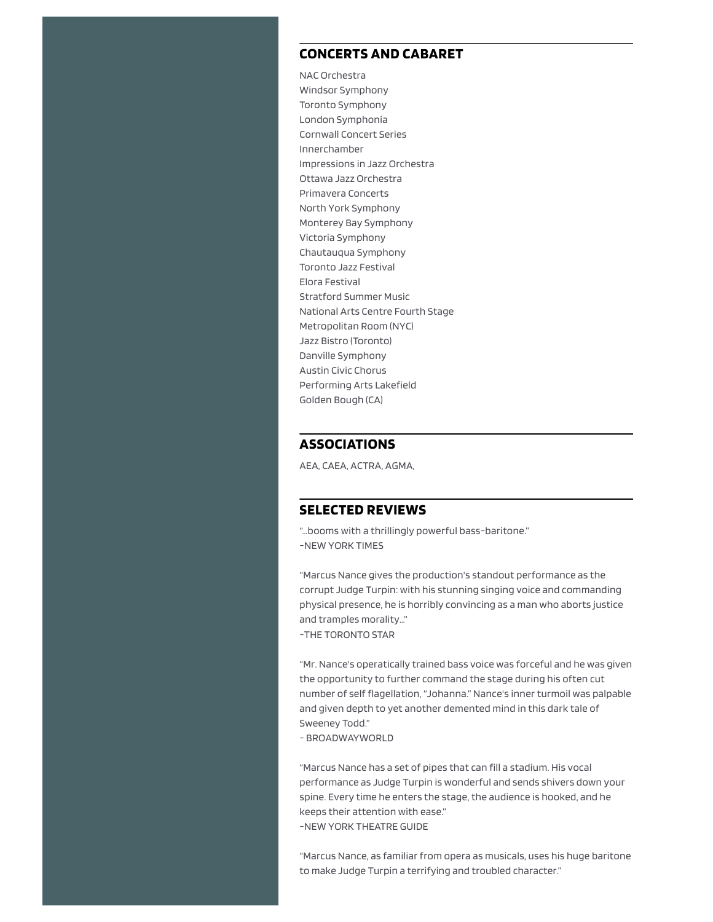## **CONCERTS AND CABARET**

NAC Orchestra Windsor Symphony Toronto Symphony London Symphonia Cornwall Concert Series Innerchamber Impressions in Jazz Orchestra Ottawa Jazz Orchestra Primavera Concerts North York Symphony Monterey Bay Symphony Victoria Symphony Chautauqua Symphony Toronto Jazz Festival Elora Festival Stratford Summer Music National Arts Centre Fourth Stage Metropolitan Room (NYC) Jazz Bistro (Toronto) Danville Symphony Austin Civic Chorus Performing Arts Lakefield Golden Bough (CA)

## **ASSOCIATIONS**

AEA, CAEA, ACTRA, AGMA,

## **SELECTED REVIEWS**

"…booms with a thrillingly powerful bass-baritone." -NEW YORK TIMES

"Marcus Nance gives the production's standout performance as the corrupt Judge Turpin: with his stunning singing voice and commanding physical presence, he is horribly convincing as a man who aborts justice and tramples morality…" -THE TORONTO STAR

"Mr. Nance's operatically trained bass voice was forceful and he was given the opportunity to further command the stage during his often cut number of self flagellation, "Johanna." Nance's inner turmoil was palpable and given depth to yet another demented mind in this dark tale of Sweeney Todd."

- BROADWAYWORLD

"Marcus Nance has a set of pipes that can fill a stadium. His vocal performance as Judge Turpin is wonderful and sends shivers down your spine. Every time he enters the stage, the audience is hooked, and he keeps their attention with ease." -NEW YORK THEATRE GUIDE

"Marcus Nance, as familiar from opera as musicals, uses his huge baritone to make Judge Turpin a terrifying and troubled character."